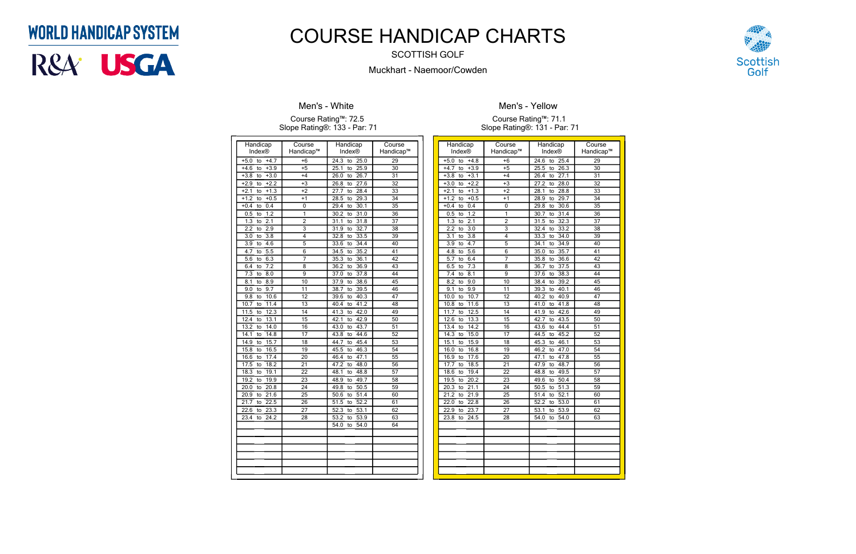| Handicap                                   | Course         | Handicap                        | Course          |
|--------------------------------------------|----------------|---------------------------------|-----------------|
| Index®                                     | Handicap™      | Index®                          | Handicap™       |
| $+4.7$<br>$+5.0$<br>to                     | $+6$           | $\frac{24.3}{ }$<br>25.0<br>to  | 29              |
| $+3.9$<br>$+4.6$<br>to                     | $+5$           | 25.9<br>25.1<br>to              | 30              |
| $+3.\overline{8}$<br>$+3.0$<br>to          | $+4$           | 26.0<br>26.7<br>to              | 31              |
| $+2.2$<br>$+2.9$<br>to                     | $+3$           | 27.6<br>26.8<br>to              | 32              |
| $+2.1$<br>$+1.3$<br>to                     | $+2$           | 28.4<br>27.7<br>to              | 33              |
| $+1.2$<br>$+0.5$<br>to                     | $+1$           | 28.5<br>29.3<br>to              | $\overline{34}$ |
| 0.4<br>$+0.4$<br>to                        | 0              | 30.1<br>29.4<br>to              | $\overline{35}$ |
| 1.2<br>0.5<br>to                           | 1              | 31.0<br>30.2<br>to              | 36              |
| 1.3<br>2.1<br>to                           | $\overline{2}$ | 31.8<br>31.1<br>to              | 37              |
| 2.9<br>2.2<br>to                           | 3              | 32.7<br>31.9<br>to              | 38              |
| $\overline{3.0}$<br>$\overline{3.8}$<br>to | 4              | 33.5<br>32.8<br>to              | $\overline{39}$ |
| 4.6<br>3.9<br>to                           | 5              | 33.6<br>34.4<br>to              | 40              |
| $\overline{5.5}$<br>4.7<br>to              | 6              | 35.2<br>34.5<br>to              | 41              |
| 6.3<br>5.6<br>to                           | 7              | 36.1<br>35.3<br>to              | 42              |
| $\overline{7.2}$<br>6.4<br>to              | 8              | 36.2<br>36.9<br>to              | 43              |
| 7.3<br>8.0<br>to                           | $\overline{9}$ | 37.8<br>37.0<br>to              | 44              |
| 8.9<br>8.1<br>to                           | 10             | 38.6<br>37.9<br>to              | $\overline{45}$ |
| 9.7<br>9.0<br>to                           | 11             | 38.7<br>39.5<br>to              | 46              |
| 10.6<br>9.8<br>to                          | 12             | 40.3<br>39.6<br>to              | 47              |
| 10.7<br>11.4<br>to                         | 13             | 41.2<br>40.4<br>to              | 48              |
| 11.5<br>12.3<br>to                         | 14             | 42.0<br>41.3<br>to              | 49              |
| 13.1<br>12.4<br>to                         | 15             | 42.9<br>42.1<br>to              | 50              |
| 13.2<br>14.0<br>to                         | 16             | 43.7<br>43.0<br>to              | 51              |
| 14.1<br>14.8<br>to                         | 17             | 43.8<br>44.6<br>to              | 52              |
| 14.9<br>15.7<br>to                         | 18             | 45.4<br>44.7<br>to              | $\overline{53}$ |
| 16.5<br>15.8<br>to                         | 19             | 46.3<br>45.5<br>to              | 54              |
| 17.4<br>16.6<br>to                         | 20             | 46.4<br>47.1<br>to              | $\overline{55}$ |
| 18.2<br>17.5<br>to                         | 21             | 48.0<br>47.2<br>to              | 56              |
| 19.1<br>18.3<br>to                         | 22             | 48.1<br>48.8<br>to              | 57              |
| 19.9<br>19.2<br>to                         | 23             | 49.7<br>48.9<br>to              | $\overline{58}$ |
| 20.8<br>20.0<br>to                         | 24             | 50.5<br>49.8<br>to              | $\overline{59}$ |
| 21.6<br>20.9<br>to                         | 25             | $\overline{50.6}$<br>51.4<br>to | 60              |
| 22.5<br>21.7<br>to                         | 26             | 52.2<br>51.5<br>to              | 61              |
| 23.3<br>22.6<br>to                         | 27             | 53.1<br>52.3<br>to              | 62              |
| 23.4<br>24.2<br>tο                         | 28             | 53.2<br>53.9<br>to              | 63              |
|                                            |                | 54.0<br>54.0<br>to              | 64              |
|                                            |                |                                 |                 |
|                                            |                |                                 |                 |
|                                            |                |                                 |                 |
|                                            |                |                                 |                 |
|                                            |                |                                 |                 |
|                                            |                |                                 |                 |

### **Men's - White**

#### Course Rating™: 72.5 Slope Rating®: 133 - Par: 71

| Handicap                                   | Course          | Handicap           | Course          |
|--------------------------------------------|-----------------|--------------------|-----------------|
| Index®                                     | Handicap™       | Index <sup>®</sup> | Handicap™       |
| $+4.8$<br>$+5.0$<br>to                     | $+6$            | 24.6<br>25.4<br>to | 29              |
| $+3.9$<br>$+4.7$<br>to                     | $+5$            | 25.5<br>26.3<br>to | 30              |
| $+3.8$<br>$+3.1$<br>to                     | $+4$            | 26.4<br>27.1<br>to | $\overline{31}$ |
| $+3.0$<br>$+2.2$<br>to                     | $+3$            | 28.0<br>27.2<br>to | 32              |
| $+2.1$<br>$+1.3$<br>to                     | $+2$            | 28.1<br>28.8<br>to | 33              |
| $+1.2$<br>$+0.5$<br>to                     | $+1$            | 28.9<br>29.7<br>to | 34              |
| $+0.4$<br>0.4<br>to                        | 0               | 30.6<br>29.8<br>to | 35              |
| $\overline{1.2}$<br>0.5<br>to              | 1               | 30.7<br>31.4<br>to | 36              |
| 1.3<br>2.1<br>to                           | $\overline{2}$  | 31.5<br>32.3<br>to | 37              |
| $\overline{2.2}$<br>$\overline{3.0}$<br>to | $\overline{3}$  | 33.2<br>32.4<br>to | 38              |
| $\overline{3.1}$<br>$\overline{3.8}$<br>to | 4               | 33.3<br>34.0<br>to | 39              |
| 4.7<br>3.9<br>to                           | $\overline{5}$  | 34.1<br>34.9<br>to | 40              |
| $\overline{5.6}$<br>4.8<br>to              | 6               | 35.0<br>35.7<br>to | 41              |
| 6.4<br>5.7<br>to                           | 7               | 36.6<br>35.8<br>to | 42              |
| 7.3<br>6.5<br>to                           | 8               | 37.5<br>36.7<br>to | 43              |
| $\overline{7.4}$<br>8.1<br>to              | 9               | 37.6<br>38.3<br>to | 44              |
| 9.0<br>8.2<br>to                           | 10              | 39.2<br>38.4<br>to | 45              |
| 9.9<br>9.1<br>to                           | 11              | 39.3<br>40.1<br>to | 46              |
| 10.7<br>10.0<br>to                         | 12              | 40.9<br>40.2<br>to | 47              |
| 10.8<br>11.6<br>to                         | $\overline{13}$ | 41.0<br>41.8<br>to | 48              |
| 11.7<br>12.5<br>to                         | 14              | 42.6<br>41.9<br>to | 49              |
| 12.6<br>13.3<br>to                         | 15              | 43.5<br>42.7<br>to | 50              |
| 13.4<br>14.2<br>to                         | 16              | 44.4<br>43.6<br>to | $\overline{51}$ |
| 14.3<br>15.0<br>to                         | 17              | 45.2<br>44.5<br>to | 52              |
| 15.1<br>15.9<br>to                         | 18              | 46.1<br>45.3<br>to | 53              |
| 16.0<br>16.8<br>to                         | 19              | 46.2<br>47.0<br>to | 54              |
| 16.9<br>17.6<br>to                         | $\overline{20}$ | 47.8<br>47.1<br>to | $\overline{55}$ |
| 17.7<br>18.5<br>to                         | $\overline{21}$ | 47.9<br>48.7<br>to | 56              |
| 19.4<br>18.6<br>to                         | 22              | 49.5<br>48.8<br>to | 57              |
| 19.5<br>20.2<br>to                         | $\overline{23}$ | 50.4<br>49.6<br>to | 58              |
| 20.3<br>21.1<br>to                         | 24              | 50.5<br>51.3<br>to | 59              |
| 21.2<br>21.9<br>to                         | $\overline{25}$ | 52.1<br>51.4<br>to | 60              |
| 22.0<br>22.8<br>to                         | $\overline{26}$ | 53.0<br>52.2<br>to | 61              |
| 22.9<br>23.7<br>to                         | $\overline{27}$ | 53.9<br>53.1<br>to | 62              |
| 23.8<br>24.5<br>to                         | 28              | 54.0<br>54.0<br>to | 63              |
|                                            |                 |                    |                 |
|                                            |                 |                    |                 |
|                                            |                 |                    |                 |
|                                            |                 |                    |                 |
|                                            |                 |                    |                 |
|                                            |                 |                    |                 |
|                                            |                 |                    |                 |



**Men's - Yellow**

Course Rating™: 71.1 Slope Rating®: 131 - Par: 71

## **WORLD HANDICAP SYSTEM**



# COURSE HANDICAP CHARTS

SCOTTISH GOLF

Muckhart - Naemoor/Cowden